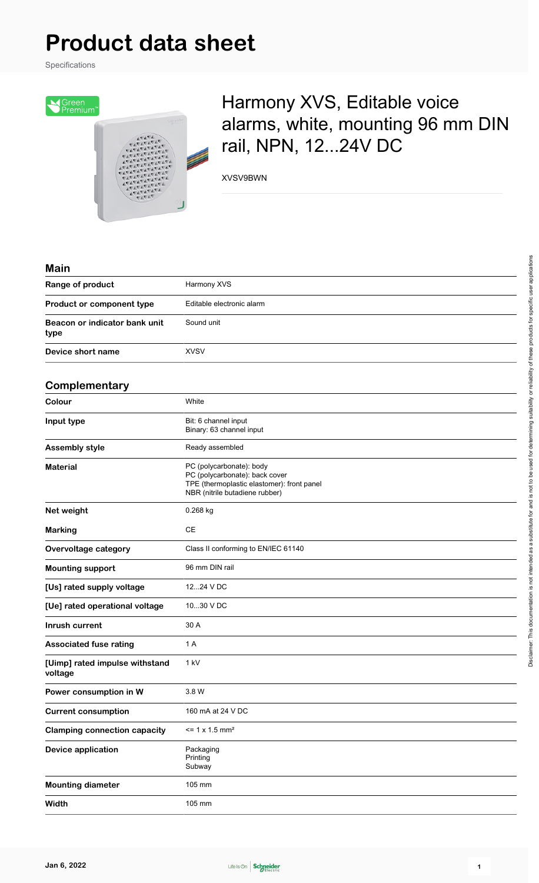Specifications



## Harmony XVS, Editable voice alarms, white, mounting 96 mm DIN rail, NPN, 12...24V DC

XVSV9BWN

| IVIGILI                                   |                                                                                                                                            |
|-------------------------------------------|--------------------------------------------------------------------------------------------------------------------------------------------|
| Range of product                          | Harmony XVS                                                                                                                                |
| Product or component type                 | Editable electronic alarm                                                                                                                  |
| Beacon or indicator bank unit<br>type     | Sound unit                                                                                                                                 |
| Device short name                         | <b>XVSV</b>                                                                                                                                |
|                                           |                                                                                                                                            |
| Complementary                             |                                                                                                                                            |
| Colour                                    | White                                                                                                                                      |
| Input type                                | Bit: 6 channel input<br>Binary: 63 channel input                                                                                           |
| <b>Assembly style</b>                     | Ready assembled                                                                                                                            |
| <b>Material</b>                           | PC (polycarbonate): body<br>PC (polycarbonate): back cover<br>TPE (thermoplastic elastomer): front panel<br>NBR (nitrile butadiene rubber) |
| Net weight                                | 0.268 kg                                                                                                                                   |
| <b>Marking</b>                            | <b>CE</b>                                                                                                                                  |
| Overvoltage category                      | Class II conforming to EN/IEC 61140                                                                                                        |
| <b>Mounting support</b>                   | 96 mm DIN rail                                                                                                                             |
| [Us] rated supply voltage                 | 1224 V DC                                                                                                                                  |
| [Ue] rated operational voltage            | 1030 V DC                                                                                                                                  |
| Inrush current                            | 30 A                                                                                                                                       |
| <b>Associated fuse rating</b>             | 1 A                                                                                                                                        |
| [Uimp] rated impulse withstand<br>voltage | 1 kV                                                                                                                                       |
| Power consumption in W                    | 3.8 W                                                                                                                                      |
| <b>Current consumption</b>                | 160 mA at 24 V DC                                                                                                                          |
| <b>Clamping connection capacity</b>       | $= 1 x 1.5 mm2$                                                                                                                            |
| <b>Device application</b>                 | Packaging<br>Printing<br>Subway                                                                                                            |
| <b>Mounting diameter</b>                  | 105 mm                                                                                                                                     |
| Width                                     | 105 mm                                                                                                                                     |

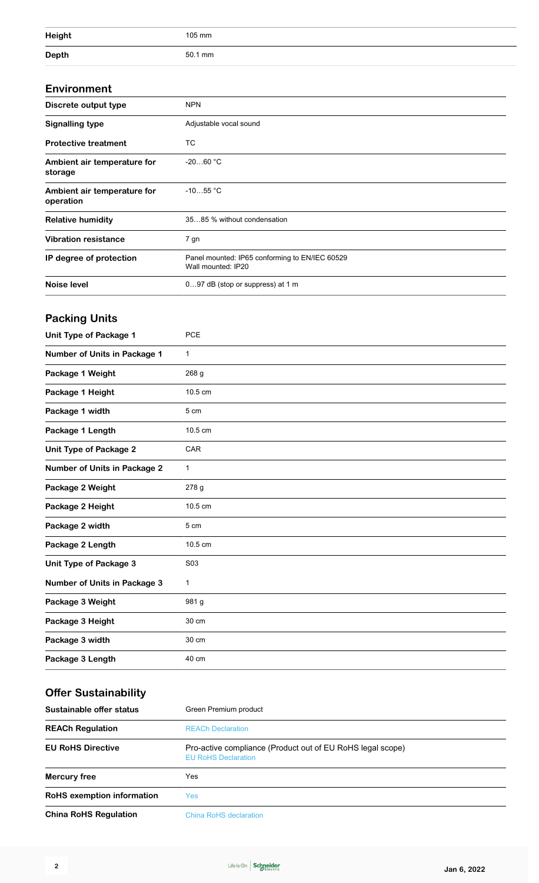| <b>Height</b> | 105 mm  |
|---------------|---------|
| <b>Depth</b>  | 50.1 mm |

#### **Environment**

| Discrete output type                     | <b>NPN</b>                                                           |
|------------------------------------------|----------------------------------------------------------------------|
| <b>Signalling type</b>                   | Adjustable vocal sound                                               |
| <b>Protective treatment</b>              | TC                                                                   |
| Ambient air temperature for<br>storage   | $-2060 °C$                                                           |
| Ambient air temperature for<br>operation | $-1055$ °C                                                           |
| <b>Relative humidity</b>                 | 3585 % without condensation                                          |
| <b>Vibration resistance</b>              | 7 gn                                                                 |
| IP degree of protection                  | Panel mounted: IP65 conforming to EN/IEC 60529<br>Wall mounted: IP20 |
| Noise level                              | 097 dB (stop or suppress) at 1 m                                     |

### **Packing Units**

| Unit Type of Package 1              | PCE          |
|-------------------------------------|--------------|
| <b>Number of Units in Package 1</b> | $\mathbf{1}$ |
| Package 1 Weight                    | 268 g        |
| Package 1 Height                    | 10.5 cm      |
| Package 1 width                     | 5 cm         |
| Package 1 Length                    | 10.5 cm      |
| <b>Unit Type of Package 2</b>       | CAR          |
| <b>Number of Units in Package 2</b> | 1            |
| Package 2 Weight                    | 278 g        |
| Package 2 Height                    | 10.5 cm      |
| Package 2 width                     | 5 cm         |
| Package 2 Length                    | 10.5 cm      |
| Unit Type of Package 3              | S03          |
| <b>Number of Units in Package 3</b> | $\mathbf{1}$ |
| Package 3 Weight                    | 981 g        |
| Package 3 Height                    | 30 cm        |
| Package 3 width                     | 30 cm        |
| Package 3 Length                    | 40 cm        |

### **Offer Sustainability**

| Sustainable offer status          | Green Premium product                                                                    |
|-----------------------------------|------------------------------------------------------------------------------------------|
| <b>REACh Regulation</b>           | <b>REACh Declaration</b>                                                                 |
| <b>EU RoHS Directive</b>          | Pro-active compliance (Product out of EU RoHS legal scope)<br><b>EU RoHS Declaration</b> |
| Mercury free                      | Yes                                                                                      |
| <b>RoHS</b> exemption information | Yes                                                                                      |
| <b>China RoHS Regulation</b>      | China RoHS declaration                                                                   |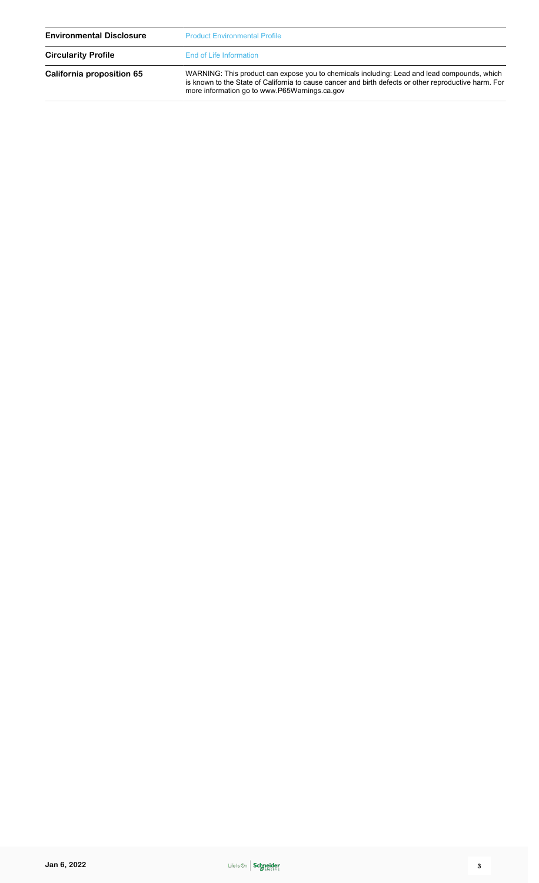| <b>Environmental Disclosure</b> | <b>Product Environmental Profile</b>                                                                                                                                                                                                                  |  |
|---------------------------------|-------------------------------------------------------------------------------------------------------------------------------------------------------------------------------------------------------------------------------------------------------|--|
| <b>Circularity Profile</b>      | End of Life Information                                                                                                                                                                                                                               |  |
| California proposition 65       | WARNING: This product can expose you to chemicals including: Lead and lead compounds, which<br>is known to the State of California to cause cancer and birth defects or other reproductive harm. For<br>more information go to www.P65Warnings.ca.gov |  |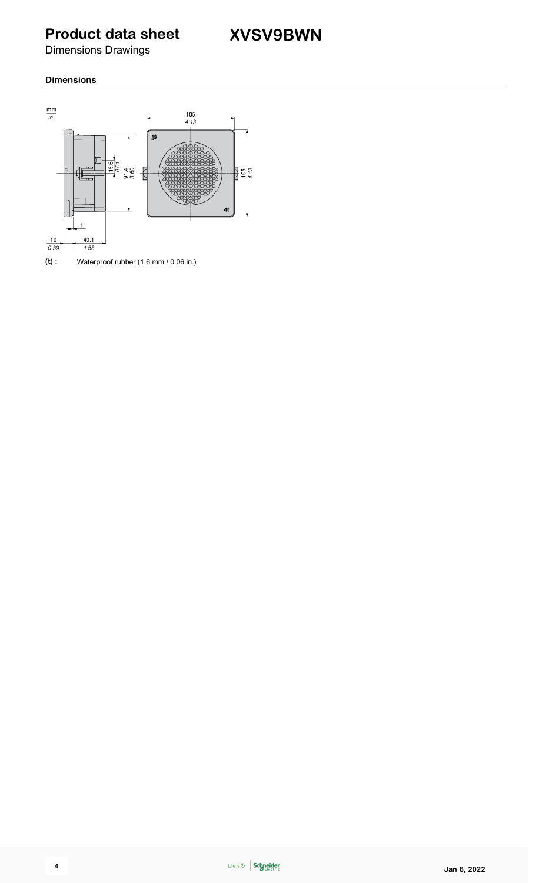Dimensions Drawings

#### **Dimensions**



**(t) :** Waterproof rubber (1.6 mm / 0.06 in.)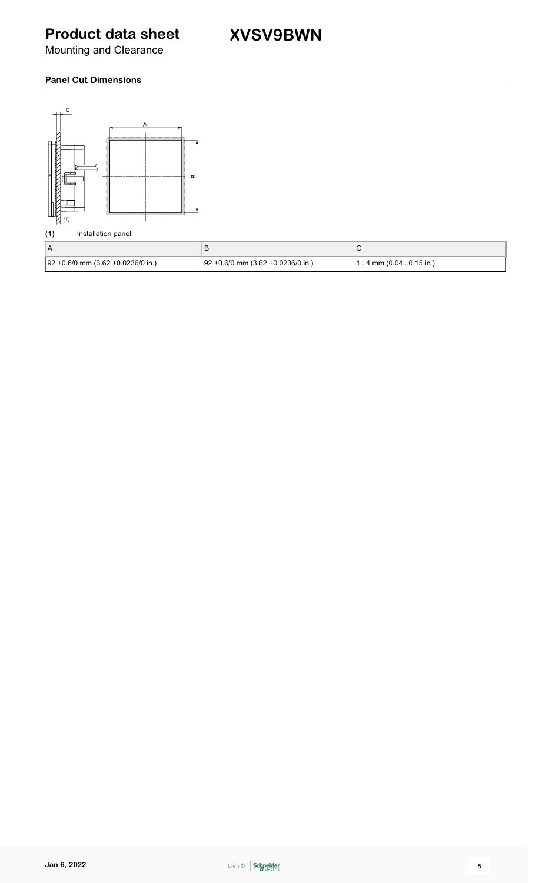Mounting and Clearance

#### **Panel Cut Dimensions**



#### **(1)** Installation panel

| 92 +0.6/0 mm (3.62 +0.0236/0 in.) | $92 + 0.6/0$ mm $(3.62 + 0.0236/0)$ in.) | $14$ mm (0.040.15 in.) |
|-----------------------------------|------------------------------------------|------------------------|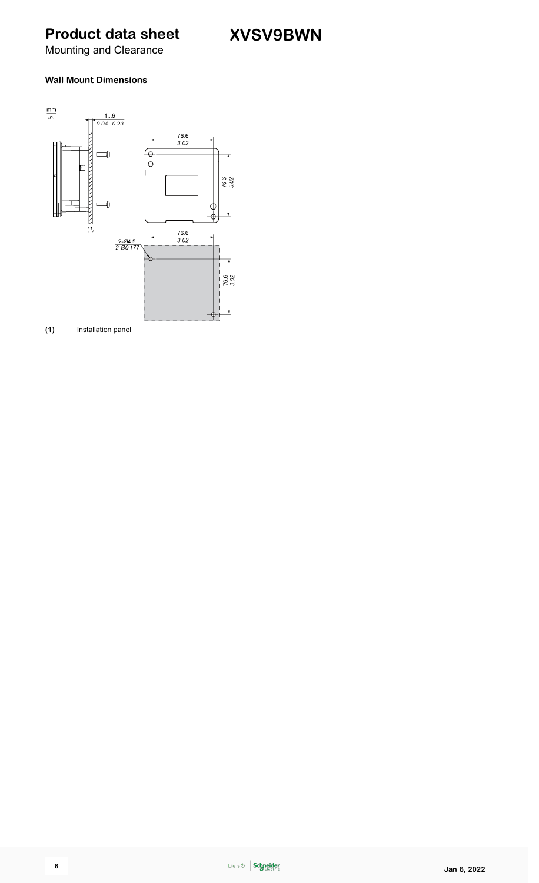Mounting and Clearance

#### **Wall Mount Dimensions**



**(1)** Installation panel